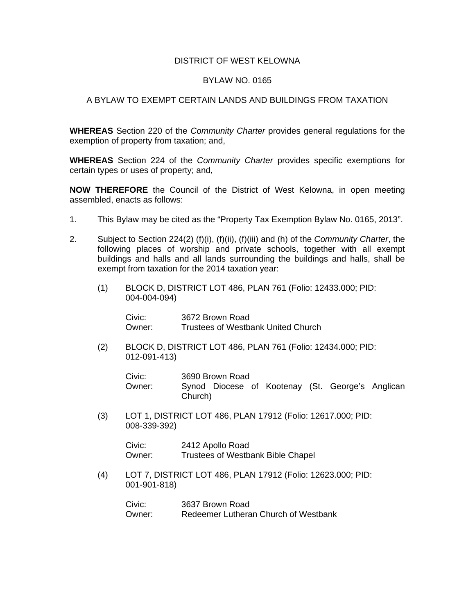## DISTRICT OF WEST KELOWNA

## BYLAW NO. 0165

## A BYLAW TO EXEMPT CERTAIN LANDS AND BUILDINGS FROM TAXATION

**WHEREAS** Section 220 of the *Community Charter* provides general regulations for the exemption of property from taxation; and,

**WHEREAS** Section 224 of the *Community Charter* provides specific exemptions for certain types or uses of property; and,

**NOW THEREFORE** the Council of the District of West Kelowna, in open meeting assembled, enacts as follows:

- 1. This Bylaw may be cited as the "Property Tax Exemption Bylaw No. 0165, 2013".
- 2. Subject to Section 224(2) (f)(i), (f)(ii), (f)(iii) and (h) of the *Community Charter*, the following places of worship and private schools, together with all exempt buildings and halls and all lands surrounding the buildings and halls, shall be exempt from taxation for the 2014 taxation year:
	- (1) BLOCK D, DISTRICT LOT 486, PLAN 761 (Folio: 12433.000; PID: 004-004-094)

 Civic: 3672 Brown Road Owner: Trustees of Westbank United Church

(2) BLOCK D, DISTRICT LOT 486, PLAN 761 (Folio: 12434.000; PID: 012-091-413)

| Civic: | 3690 Brown Road                                  |  |  |
|--------|--------------------------------------------------|--|--|
| Owner: | Synod Diocese of Kootenay (St. George's Anglican |  |  |
|        | Church)                                          |  |  |

(3) LOT 1, DISTRICT LOT 486, PLAN 17912 (Folio: 12617.000; PID: 008-339-392)

> Civic: 2412 Apollo Road Owner: Trustees of Westbank Bible Chapel

 (4) LOT 7, DISTRICT LOT 486, PLAN 17912 (Folio: 12623.000; PID: 001-901-818)

 Civic: 3637 Brown Road Owner: Redeemer Lutheran Church of Westbank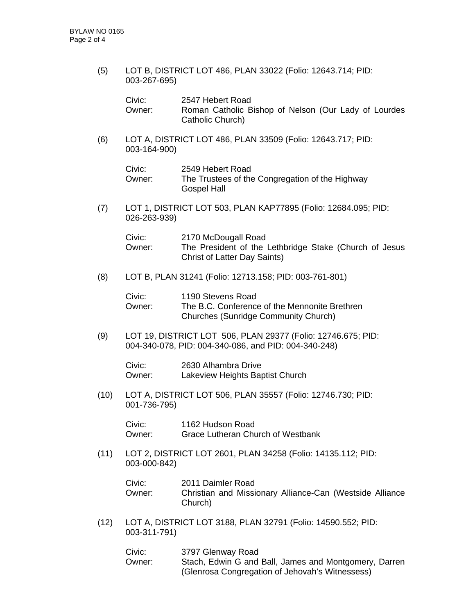(5) LOT B, DISTRICT LOT 486, PLAN 33022 (Folio: 12643.714; PID: 003-267-695)

| Civic:   | 2547 Hebert Road                                     |
|----------|------------------------------------------------------|
| Owner: . | Roman Catholic Bishop of Nelson (Our Lady of Lourdes |
|          | Catholic Church)                                     |

(6) LOT A, DISTRICT LOT 486, PLAN 33509 (Folio: 12643.717; PID: 003-164-900)

| Civic: | 2549 Hebert Road                                |
|--------|-------------------------------------------------|
| Owner: | The Trustees of the Congregation of the Highway |
|        | Gospel Hall                                     |

(7) LOT 1, DISTRICT LOT 503, PLAN KAP77895 (Folio: 12684.095; PID: 026-263-939)

| Civic:   | 2170 McDougall Road                                    |
|----------|--------------------------------------------------------|
| Owner: I | The President of the Lethbridge Stake (Church of Jesus |
|          | Christ of Latter Day Saints)                           |

(8) LOT B, PLAN 31241 (Folio: 12713.158; PID: 003-761-801)

| Civic: | 1190 Stevens Road                             |
|--------|-----------------------------------------------|
| Owner: | The B.C. Conference of the Mennonite Brethren |
|        | <b>Churches (Sunridge Community Church)</b>   |

(9) LOT 19, DISTRICT LOT 506, PLAN 29377 (Folio: 12746.675; PID: 004-340-078, PID: 004-340-086, and PID: 004-340-248)

 Civic: 2630 Alhambra Drive Owner: Lakeview Heights Baptist Church

 (10) LOT A, DISTRICT LOT 506, PLAN 35557 (Folio: 12746.730; PID: 001-736-795)

> Civic: 1162 Hudson Road Owner: Grace Lutheran Church of Westbank

 (11) LOT 2, DISTRICT LOT 2601, PLAN 34258 (Folio: 14135.112; PID: 003-000-842)

| Civic: | 2011 Daimler Road                                                   |
|--------|---------------------------------------------------------------------|
| Owner: | Christian and Missionary Alliance-Can (Westside Alliance<br>Church) |

(12) LOT A, DISTRICT LOT 3188, PLAN 32791 (Folio: 14590.552; PID: 003-311-791)

| Civic: | 3797 Glenway Road                                     |
|--------|-------------------------------------------------------|
| Owner: | Stach, Edwin G and Ball, James and Montgomery, Darren |
|        | (Glenrosa Congregation of Jehovah's Witnessess)       |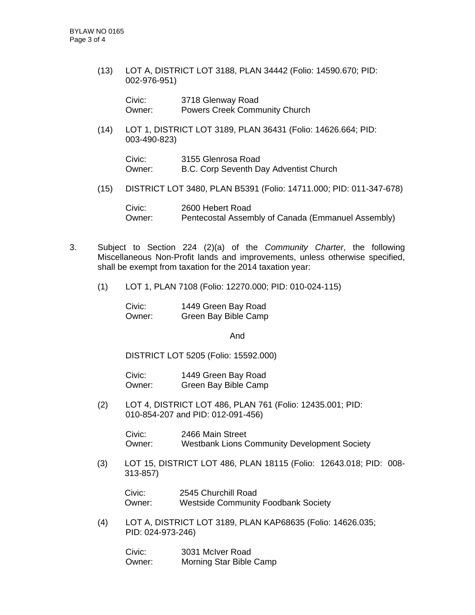(13) LOT A, DISTRICT LOT 3188, PLAN 34442 (Folio: 14590.670; PID: 002-976-951)

| Civic: | 3718 Glenway Road                    |  |
|--------|--------------------------------------|--|
| Owner: | <b>Powers Creek Community Church</b> |  |

 (14) LOT 1, DISTRICT LOT 3189, PLAN 36431 (Folio: 14626.664; PID: 003-490-823)

| Civic: | 3155 Glenrosa Road                     |
|--------|----------------------------------------|
| Owner: | B.C. Corp Seventh Day Adventist Church |

(15) DISTRICT LOT 3480, PLAN B5391 (Folio: 14711.000; PID: 011-347-678)

 Civic: 2600 Hebert Road Owner: Pentecostal Assembly of Canada (Emmanuel Assembly)

- 3. Subject to Section 224 (2)(a) of the *Community Charter*, the following Miscellaneous Non-Profit lands and improvements, unless otherwise specified, shall be exempt from taxation for the 2014 taxation year:
	- (1) LOT 1, PLAN 7108 (Folio: 12270.000; PID: 010-024-115)

 Civic: 1449 Green Bay Road Owner: Green Bay Bible Camp

And

DISTRICT LOT 5205 (Folio: 15592.000)

 Civic: 1449 Green Bay Road Owner: Green Bay Bible Camp

(2) LOT 4, DISTRICT LOT 486, PLAN 761 (Folio: 12435.001; PID: 010-854-207 and PID: 012-091-456)

> Civic: 2466 Main Street Owner: Westbank Lions Community Development Society

(3) LOT 15, DISTRICT LOT 486, PLAN 18115 (Folio: 12643.018; PID: 008- 313-857)

Civic: 2545 Churchill Road Owner: Westside Community Foodbank Society

(4) LOT A, DISTRICT LOT 3189, PLAN KAP68635 (Folio: 14626.035; PID: 024-973-246)

 Civic: 3031 McIver Road Owner: Morning Star Bible Camp